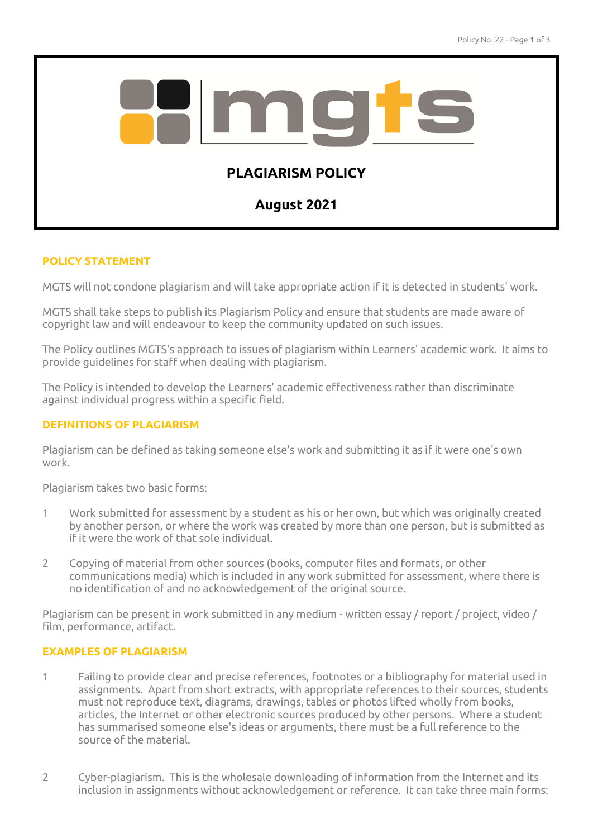

## **POLICY STATEMENT**

MGTS will not condone plagiarism and will take appropriate action if it is detected in students' work.

MGTS shall take steps to publish its Plagiarism Policy and ensure that students are made aware of copyright law and will endeavour to keep the community updated on such issues.

The Policy outlines MGTS's approach to issues of plagiarism within Learners' academic work. It aims to provide guidelines for staff when dealing with plagiarism.

The Policy is intended to develop the Learners' academic effectiveness rather than discriminate against individual progress within a specific field.

## **DEFINITIONS OF PLAGIARISM**

Plagiarism can be defined as taking someone else's work and submitting it as if it were one's own work.

Plagiarism takes two basic forms:

- 1 Work submitted for assessment by a student as his or her own, but which was originally created by another person, or where the work was created by more than one person, but is submitted as if it were the work of that sole individual.
- 2 Copying of material from other sources (books, computer files and formats, or other communications media) which is included in any work submitted for assessment, where there is no identification of and no acknowledgement of the original source.

Plagiarism can be present in work submitted in any medium - written essay / report / project, video / film, performance, artifact.

## **EXAMPLES OF PLAGIARISM**

- 1 Failing to provide clear and precise references, footnotes or a bibliography for material used in assignments. Apart from short extracts, with appropriate references to their sources, students must not reproduce text, diagrams, drawings, tables or photos lifted wholly from books, articles, the Internet or other electronic sources produced by other persons. Where a student has summarised someone else's ideas or arguments, there must be a full reference to the source of the material.
- 2 Cyber-plagiarism. This is the wholesale downloading of information from the Internet and its inclusion in assignments without acknowledgement or reference. It can take three main forms: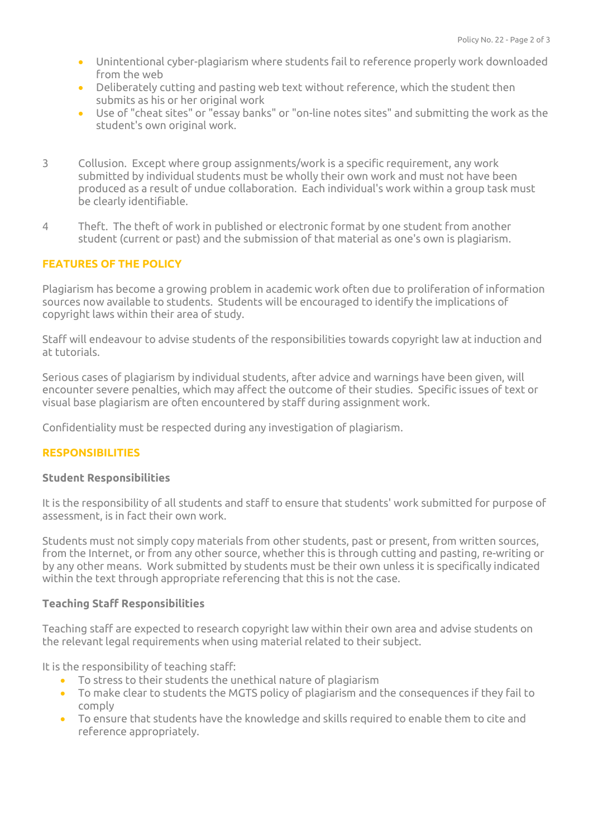- Unintentional cyber-plagiarism where students fail to reference properly work downloaded from the web
- Deliberately cutting and pasting web text without reference, which the student then submits as his or her original work
- Use of "cheat sites" or "essay banks" or "on-line notes sites" and submitting the work as the student's own original work.
- 3 Collusion. Except where group assignments/work is a specific requirement, any work submitted by individual students must be wholly their own work and must not have been produced as a result of undue collaboration. Each individual's work within a group task must be clearly identifiable.
- 4 Theft. The theft of work in published or electronic format by one student from another student (current or past) and the submission of that material as one's own is plagiarism.

# **FEATURES OF THE POLICY**

Plagiarism has become a growing problem in academic work often due to proliferation of information sources now available to students. Students will be encouraged to identify the implications of copyright laws within their area of study.

Staff will endeavour to advise students of the responsibilities towards copyright law at induction and at tutorials.

Serious cases of plagiarism by individual students, after advice and warnings have been given, will encounter severe penalties, which may affect the outcome of their studies. Specific issues of text or visual base plagiarism are often encountered by staff during assignment work.

Confidentiality must be respected during any investigation of plagiarism.

## **RESPONSIBILITIES**

## **Student Responsibilities**

It is the responsibility of all students and staff to ensure that students' work submitted for purpose of assessment, is in fact their own work.

Students must not simply copy materials from other students, past or present, from written sources, from the Internet, or from any other source, whether this is through cutting and pasting, re-writing or by any other means. Work submitted by students must be their own unless it is specifically indicated within the text through appropriate referencing that this is not the case.

## **Teaching Staff Responsibilities**

Teaching staff are expected to research copyright law within their own area and advise students on the relevant legal requirements when using material related to their subject.

It is the responsibility of teaching staff:

- To stress to their students the unethical nature of plagiarism
- To make clear to students the MGTS policy of plagiarism and the consequences if they fail to comply
- To ensure that students have the knowledge and skills required to enable them to cite and reference appropriately.